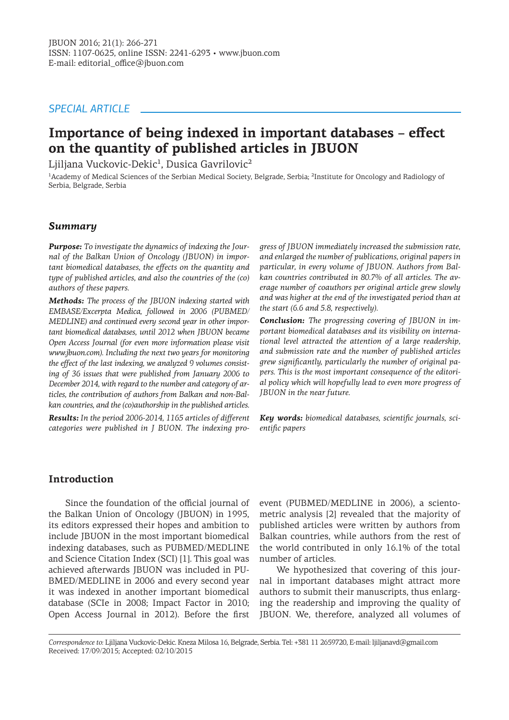## *SPECIAL ARTICLE*

# **Importance of being indexed in important databases – effect on the quantity of published articles in JBUON**

Ljiljana Vuckovic-Dekic<sup>1</sup>, Dusica Gavrilovic<sup>2</sup>

<sup>1</sup>Academy of Medical Sciences of the Serbian Medical Society, Belgrade, Serbia; <sup>2</sup>Institute for Oncology and Radiology of Serbia, Belgrade, Serbia

#### *Summary*

*Purpose: To investigate the dynamics of indexing the Journal of the Balkan Union of Oncology (JBUON) in important biomedical databases, the effects on the quantity and type of published articles, and also the countries of the (co) authors of these papers.*

*Methods: The process of the JBUON indexing started with EMBASE/Excerpta Medica, followed in 2006 (PUBMED/ MEDLINE) and continued every second year in other important biomedical databases, until 2012 when JBUON became Open Access Journal (for even more information please visit www.jbuon.com). Including the next two years for monitoring the effect of the last indexing, we analyzed 9 volumes consisting of 36 issues that were published from January 2006 to December 2014, with regard to the number and category of articles, the contribution of authors from Balkan and non-Balkan countries, and the (co)authorship in the published articles.*

*Results: In the period 2006-2014, 1165 articles of different categories were published in J BUON. The indexing pro-* *gress of JBUON immediately increased the submission rate, and enlarged the number of publications, original papers in particular, in every volume of JBUON. Authors from Balkan countries contributed in 80.7% of all articles. The average number of coauthors per original article grew slowly and was higher at the end of the investigated period than at the start (6.6 and 5.8, respectively).*

*Conclusion: The progressing covering of JBUON in important biomedical databases and its visibility on international level attracted the attention of a large readership, and submission rate and the number of published articles grew significantly, particularly the number of original papers. This is the most important consequence of the editorial policy which will hopefully lead to even more progress of JBUON in the near future.*

*Key words: biomedical databases, scientific journals, scientific papers*

#### **Introduction**

Since the foundation of the official journal of the Balkan Union of Oncology (JBUON) in 1995, its editors expressed their hopes and ambition to include JBUON in the most important biomedical indexing databases, such as PUBMED/MEDLINE and Science Citation Index (SCI) [1]. This goal was achieved afterwards JBUON was included in PU-BMED/MEDLINE in 2006 and every second year it was indexed in another important biomedical database (SCIe in 2008; Impact Factor in 2010; Open Access Journal in 2012). Before the first

event (PUBMED/MEDLINE in 2006), a scientometric analysis [2] revealed that the majority of published articles were written by authors from Balkan countries, while authors from the rest of the world contributed in only 16.1% of the total number of articles.

We hypothesized that covering of this journal in important databases might attract more authors to submit their manuscripts, thus enlarging the readership and improving the quality of JBUON. We, therefore, analyzed all volumes of

*Correspondence to:* Ljiljana Vuckovic-Dekic. Kneza Milosa 16, Belgrade, Serbia. Tel: +381 11 2659720, E-mail: ljiljanavd@gmail.com Received: 17/09/2015; Accepted: 02/10/2015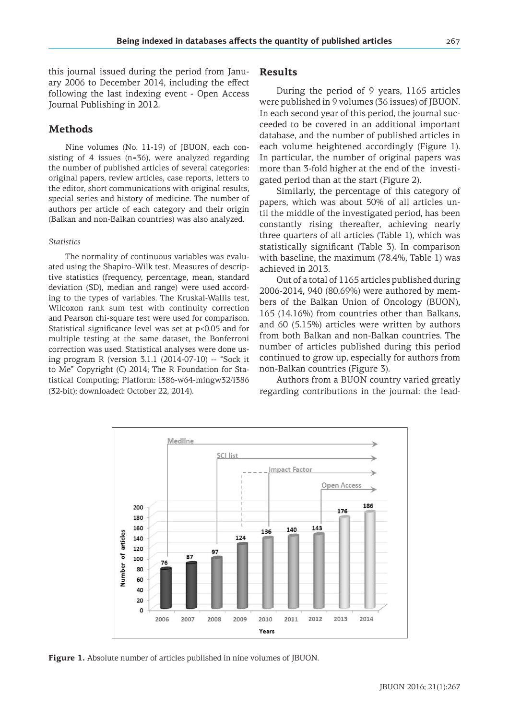this journal issued during the period from January 2006 to December 2014, including the effect following the last indexing event - Open Access Journal Publishing in 2012.

### **Methods**

Nine volumes (No. 11-19) of JBUON, each consisting of 4 issues (n=36), were analyzed regarding the number of published articles of several categories: original papers, review articles, case reports, letters to the editor, short communications with original results, special series and history of medicine. The number of authors per article of each category and their origin (Balkan and non-Balkan countries) was also analyzed.

#### *Statistics*

The normality of continuous variables was evaluated using the Shapiro–Wilk test. Measures of descriptive statistics (frequency, percentage, mean, standard deviation (SD), median and range) were used according to the types of variables. The Kruskal-Wallis test, Wilcoxon rank sum test with continuity correction and Pearson chi-square test were used for comparison. Statistical significance level was set at p<0.05 and for multiple testing at the same dataset, the Bonferroni correction was used. Statistical analyses were done using program R (version 3.1.1 (2014-07-10) -- "Sock it to Me" Copyright (C) 2014; The R Foundation for Statistical Computing; Platform: i386-w64-mingw32/i386 (32-bit); downloaded: October 22, 2014).

#### **Results**

During the period of 9 years, 1165 articles were published in 9 volumes (36 issues) of JBUON. In each second year of this period, the journal succeeded to be covered in an additional important database, and the number of published articles in each volume heightened accordingly (Figure 1). In particular, the number of original papers was more than 3-fold higher at the end of the investigated period than at the start (Figure 2).

Similarly, the percentage of this category of papers, which was about 50% of all articles until the middle of the investigated period, has been constantly rising thereafter, achieving nearly three quarters of all articles (Table 1), which was statistically significant (Table 3). In comparison with baseline, the maximum (78.4%, Table 1) was achieved in 2013.

Out of a total of 1165 articles published during 2006-2014, 940 (80.69%) were authored by members of the Balkan Union of Oncology (BUON), 165 (14.16%) from countries other than Balkans, and 60 (5.15%) articles were written by authors from both Balkan and non-Balkan countries. The number of articles published during this period continued to grow up, especially for authors from non-Balkan countries (Figure 3).

Authors from a BUON country varied greatly regarding contributions in the journal: the lead-



**Figure 1.** Absolute number of articles published in nine volumes of JBUON.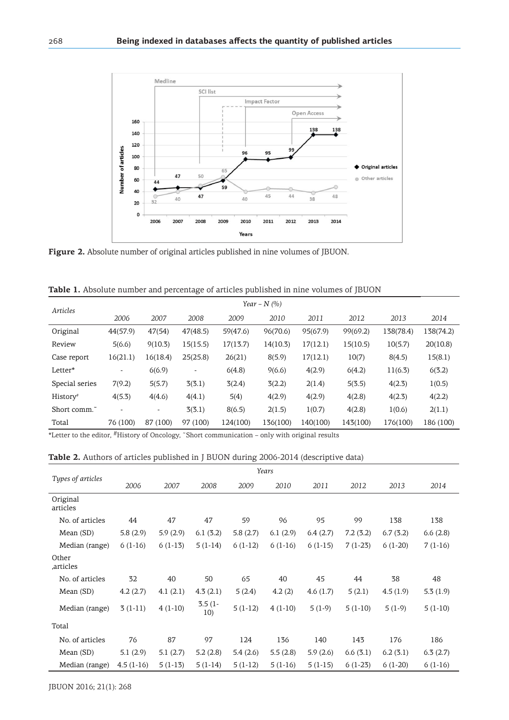

**Figure 2.** Absolute number of original articles published in nine volumes of JBUON.

|  |  |  | Table 1. Absolute number and percentage of articles published in nine volumes of JBUON |  |  |  |  |  |  |
|--|--|--|----------------------------------------------------------------------------------------|--|--|--|--|--|--|
|--|--|--|----------------------------------------------------------------------------------------|--|--|--|--|--|--|

| Articles       | Year – N $(%$            |          |                 |          |          |          |          |           |           |  |  |
|----------------|--------------------------|----------|-----------------|----------|----------|----------|----------|-----------|-----------|--|--|
|                | 2006                     | 2007     | 2008            | 2009     | 2010     | 2011     | 2012     | 2013      | 2014      |  |  |
| Original       | 44(57.9)                 | 47(54)   | 47(48.5)        | 59(47.6) | 96(70.6) | 95(67.9) | 99(69.2) | 138(78.4) | 138(74.2) |  |  |
| Review         | 5(6.6)                   | 9(10.3)  | 15(15.5)        | 17(13.7) | 14(10.3) | 17(12.1) | 15(10.5) | 10(5.7)   | 20(10.8)  |  |  |
| Case report    | 16(21.1)                 | 16(18.4) | 25(25.8)        | 26(21)   | 8(5.9)   | 17(12.1) | 10(7)    | 8(4.5)    | 15(8.1)   |  |  |
| Letter*        | $\overline{\phantom{a}}$ | 6(6.9)   | $\qquad \qquad$ | 6(4.8)   | 9(6.6)   | 4(2.9)   | 6(4.2)   | 11(6.3)   | 6(3.2)    |  |  |
| Special series | 7(9.2)                   | 5(5.7)   | 3(3.1)          | 3(2.4)   | 3(2.2)   | 2(1.4)   | 5(3.5)   | 4(2.3)    | 1(0.5)    |  |  |
| History#       | 4(5.3)                   | 4(4.6)   | 4(4.1)          | 5(4)     | 4(2.9)   | 4(2.9)   | 4(2.8)   | 4(2.3)    | 4(2.2)    |  |  |
| Short comm.    |                          |          | 3(3.1)          | 8(6.5)   | 2(1.5)   | 1(0.7)   | 4(2.8)   | 1(0.6)    | 2(1.1)    |  |  |
| Total          | 76 (100)                 | 87 (100) | 97 (100)        | 124(100) | 136(100) | 140(100) | 143(100) | 176(100)  | 186 (100) |  |  |

\*Letter to the editor, #History of Oncology, ˜Short communication – only with original results

#### **Table 2.** Authors of articles published in J BUON during 2006-2014 (descriptive data)

|                      | Years       |           |                  |           |           |           |           |           |           |
|----------------------|-------------|-----------|------------------|-----------|-----------|-----------|-----------|-----------|-----------|
| Types of articles    | 2006        | 2007      | 2008             | 2009      | 2010      | 2011      | 2012      | 2013      | 2014      |
| Original<br>articles |             |           |                  |           |           |           |           |           |           |
| No. of articles      | 44          | 47        | 47               | 59        | 96        | 95        | 99        | 138       | 138       |
| Mean (SD)            | 5.8(2.9)    | 5.9(2.9)  | 6.1(3.2)         | 5.8(2.7)  | 6.1(2.9)  | 6.4(2.7)  | 7.2(3.2)  | 6.7(3.2)  | 6.6(2.8)  |
| Median (range)       | $6(1-16)$   | $6(1-13)$ | $5(1-14)$        | $6(1-12)$ | $6(1-16)$ | $6(1-15)$ | $7(1-23)$ | $6(1-20)$ | $7(1-16)$ |
| Other<br>articles,   |             |           |                  |           |           |           |           |           |           |
| No. of articles      | 32          | 40        | 50               | 65        | 40        | 45        | 44        | 38        | 48        |
| Mean (SD)            | 4.2(2.7)    | 4.1(2.1)  | 4.3(2.1)         | 5(2.4)    | 4.2(2)    | 4.6(1.7)  | 5(2.1)    | 4.5(1.9)  | 5.3(1.9)  |
| Median (range)       | $3(1-11)$   | $4(1-10)$ | $3.5(1 -$<br>10) | $5(1-12)$ | $4(1-10)$ | $5(1-9)$  | $5(1-10)$ | $5(1-9)$  | $5(1-10)$ |
| Total                |             |           |                  |           |           |           |           |           |           |
| No. of articles      | 76          | 87        | 97               | 124       | 136       | 140       | 143       | 176       | 186       |
| Mean (SD)            | 5.1(2.9)    | 5.1(2.7)  | 5.2(2.8)         | 5.4(2.6)  | 5.5(2.8)  | 5.9(2.6)  | 6.6(3.1)  | 6.2(3.1)  | 6.3(2.7)  |
| Median (range)       | $4.5(1-16)$ | $5(1-13)$ | $5(1-14)$        | $5(1-12)$ | $5(1-16)$ | $5(1-15)$ | $6(1-23)$ | $6(1-20)$ | $6(1-16)$ |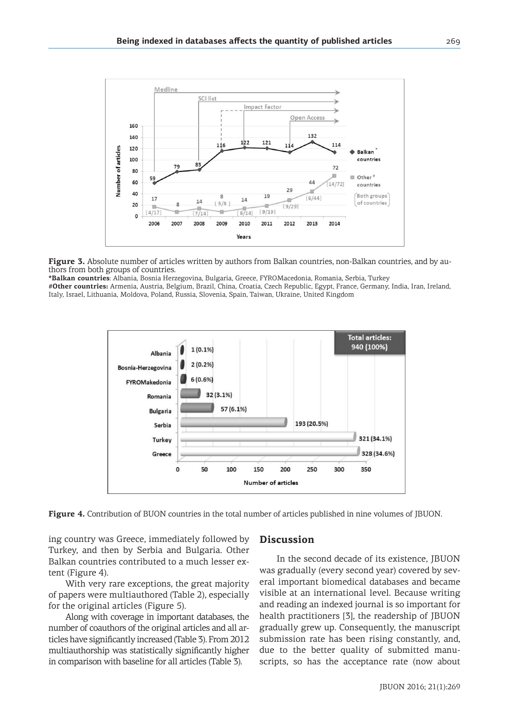

Figure 3. Absolute number of articles written by authors from Balkan countries, non-Balkan countries, and by authors from both groups of countries.

**\*Balkan countries**: Albania, Bosnia Herzegovina, Bulgaria, Greece, FYROMacedonia, Romania, Serbia, Turkey

**#Other countries:** Armenia, Austria, Belgium, Brazil, China, Croatia, Czech Republic, Egypt, France, Germany, India, Iran, Ireland, Italy, Israel, Lithuania, Moldova, Poland, Russia, Slovenia, Spain, Taiwan, Ukraine, United Kingdom



**Figure 4.** Contribution of BUON countries in the total number of articles published in nine volumes of JBUON.

ing country was Greece, immediately followed by Turkey, and then by Serbia and Bulgaria. Other Balkan countries contributed to a much lesser extent (Figure 4).

With very rare exceptions, the great majority of papers were multiauthored (Table 2), especially for the original articles (Figure 5).

Along with coverage in important databases, the number of coauthors of the original articles and all articles have significantly increased (Table 3). From 2012 multiauthorship was statistically significantly higher in comparison with baseline for all articles (Table 3).

#### **Discussion**

In the second decade of its existence, JBUON was gradually (every second year) covered by several important biomedical databases and became visible at an international level. Because writing and reading an indexed journal is so important for health practitioners [3], the readership of JBUON gradually grew up. Consequently, the manuscript submission rate has been rising constantly, and, due to the better quality of submitted manuscripts, so has the acceptance rate (now about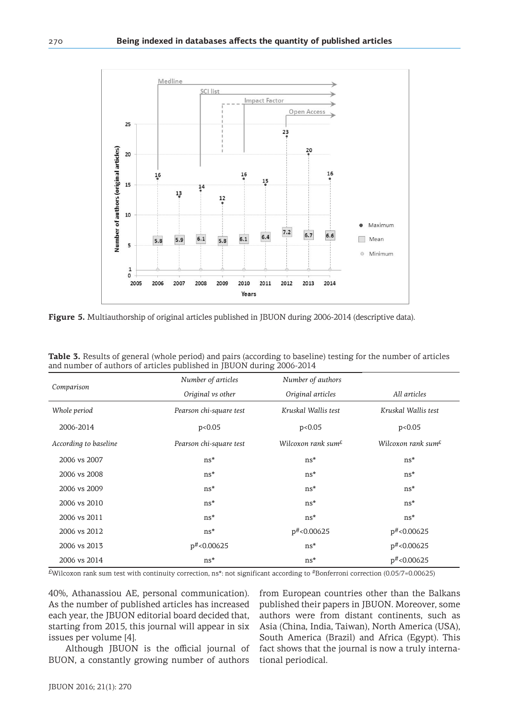

**Figure 5.** Multiauthorship of original articles published in JBUON during 2006-2014 (descriptive data).

|                       | Number of articles      | Number of authors              |                                                    |  |
|-----------------------|-------------------------|--------------------------------|----------------------------------------------------|--|
| Comparison            | Original vs other       | Original articles              | All articles                                       |  |
| Whole period          | Pearson chi-square test | Kruskal Wallis test            | Kruskal Wallis test                                |  |
| 2006-2014             | p<0.05                  | p<0.05                         | p<0.05                                             |  |
| According to baseline | Pearson chi-square test | Wilcoxon rank sum <sup>£</sup> | Wilcoxon rank sum <sup><math>\epsilon</math></sup> |  |
| 2006 vs 2007          | ns*                     | ns*                            | $ns*$                                              |  |
| 2006 vs 2008          | ns*                     | ns*                            | ns*                                                |  |
| 2006 vs 2009          | ns*                     | ns*                            | ns*                                                |  |
| 2006 vs 2010          | ns*                     | ns*                            | ns*                                                |  |
| 2006 vs 2011          | ns*                     | ns*                            | ns*                                                |  |
| 2006 vs 2012          | ns*                     | p#<0.00625                     | $p^{\#}$ <0.00625                                  |  |
| 2006 vs 2013          | $p^{\#}$ <0.00625       | $ns*$                          | $p^{\#}$ <0.00625                                  |  |
| 2006 vs 2014          | $ns*$                   | ns*                            | $p^{\#}$ <0.00625                                  |  |

**Table 3.** Results of general (whole period) and pairs (according to baseline) testing for the number of articles and number of authors of articles published in JBUON during 2006-2014

 $E$ Wilcoxon rank sum test with continuity correction, ns\*: not significant according to #Bonferroni correction (0.05/7=0.00625)

40%, Athanassiou AE, personal communication). As the number of published articles has increased each year, the JBUON editorial board decided that, starting from 2015, this journal will appear in six issues per volume [4].

Although JBUON is the official journal of BUON, a constantly growing number of authors

from European countries other than the Balkans published their papers in JBUON. Moreover, some authors were from distant continents, such as Asia (China, India, Taiwan), North America (USA), South America (Brazil) and Africa (Egypt). This fact shows that the journal is now a truly international periodical.